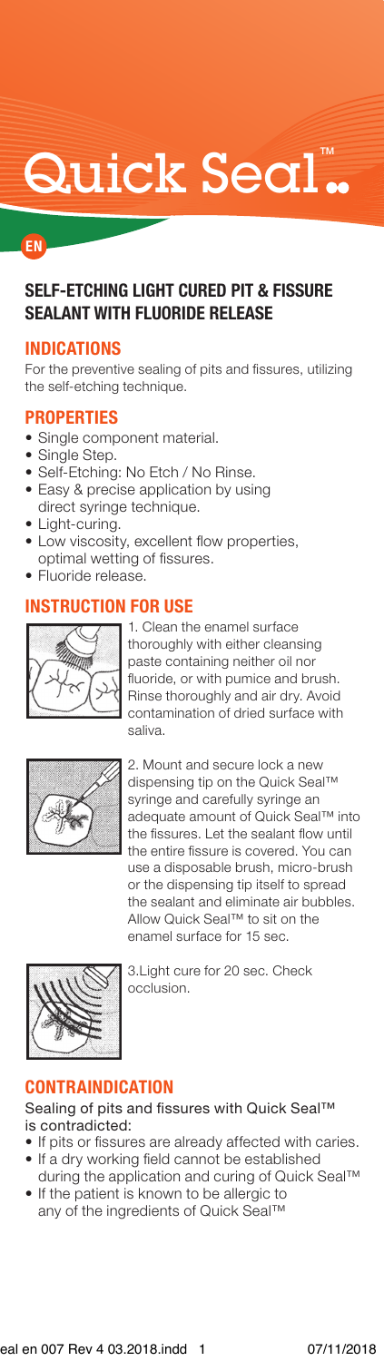# Quick Seal.

## EN

# **SELF-ETCHING LIGHT CURED PIT & FISSURE** *SEALANT WITH FLUORIDE RELEASE*

## INDICATIONS

For the preventive sealing of pits and fissures, utilizing the self-etching technique.

#### **PROPERTIES**

- Single component material.
- Single Step.
- · Self-Etching: No Etch / No Rinse.
- Easy & precise application by using direct syringe technique.
- Light-curing.
- Low viscosity, excellent flow properties, optimal wetting of fissures.
- Fluoride release.

## **INSTRUCTION FOR USE**



1. Clean the enamel surface thoroughly with either cleansing paste containing neither oil nor fluoride, or with pumice and brush. Rinse thoroughly and air dry. Avoid contamination of dried surface with .saliva



2. Mount and secure lock a new dispensing tip on the Quick Seal™ syringe and carefully syringe an adequate amount of Quick Seal™ into the fissures. Let the sealant flow until the entire fissure is covered. You can use a disposable brush, micro-brush or the dispensing tip itself to spread the sealant and eliminate air bubbles. Allow Quick Seal™ to sit on the enamel surface for 15 sec.



3. Light cure for 20 sec. Check occlusion.

## CONTRAINDICATION

Sealing of pits and fissures with Quick Seal™ is contradicted:

- If pits or fissures are already affected with caries.
- If a dry working field cannot be established
- during the application and curing of Quick Seal™ • If the patient is known to be allergic to
- any of the ingredients of Quick Seal™